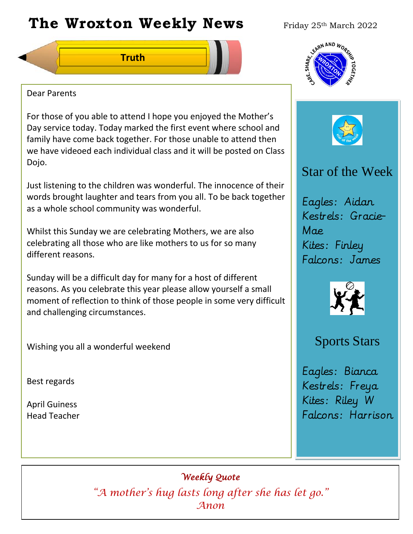# **The Wroxton Weekly News** Friday 25th March 2022

**Truth**

## Dear Parents

For those of you able to attend I hope you enjoyed the Mother's Day service today. Today marked the first event where school and family have come back together. For those unable to attend then we have videoed each individual class and it will be posted on Class Dojo.

Just listening to the children was wonderful. The innocence of their words brought laughter and tears from you all. To be back together as a whole school community was wonderful.

Whilst this Sunday we are celebrating Mothers, we are also celebrating all those who are like mothers to us for so many different reasons.

Sunday will be a difficult day for many for a host of different reasons. As you celebrate this year please allow yourself a small moment of reflection to think of those people in some very difficult and challenging circumstances.

**Fall Festival**

Wishing you all a wonderful weekend

Best regards

April Guiness Head Teacher





## Star of the Week

Eagles: Aidan Kestrels: Gracie-Mae Kites: Finley Falcons: James



## Sports Stars

Eagles: Bianca Kestrels: Freya Kites: Riley W Falcons: Harrison

**Nov 4** *Anon Weekly Quote "A mother's hug lasts long after she has let go."* 

**PTA** 

**New Year**

**Teacher Day**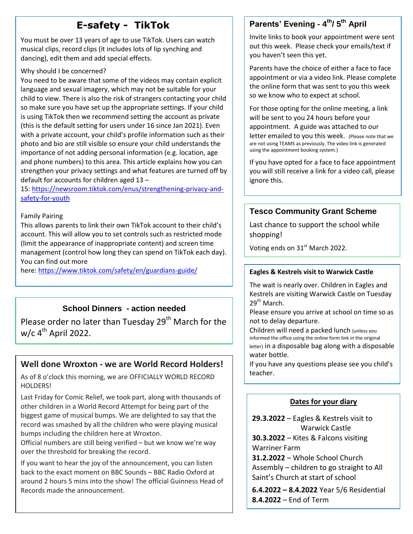## **E-safety - TikTok**

musical clips, record clips (it includes lots of<br>dancing), edit them and add special effects. You must be over 13 years of age to use TikTok. Users can watch musical clips, record clips (it includes lots of lip synching and

#### Why should I be concerned?

You need to be aware that some of the videos may contain explicit language and sexual imagery, which may not be suitable for your child to view. There is also the risk of strangers contacting your child so make sure you have set up the appropriate settings. If your child is using TikTok then we recommend setting the account as private (this is the default setting for users under 16 since Jan 2021). Even with a private account, your child's profile information such as their photo and bio are still visible so ensure your child understands the importance of not adding personal information (e.g. location, age and phone numbers) to this area. This article explains how you can strengthen your privacy settings and what features are turned off by default for accounts for children aged 13 –

15: [https://newsroom.tiktok.com/enus/strengthening-privacy-and](https://newsroom.tiktok.com/enus/strengthening-privacy-and-safety-for-youth)[safety-for-youth](https://newsroom.tiktok.com/enus/strengthening-privacy-and-safety-for-youth) 

#### Family Pairing

This allows parents to link their own TikTok account to their child's account. This will allow you to set controls such as restricted mode (limit the appearance of inappropriate content) and screen time management (control how long they can spend on TikTok each day). You can find out more

here: <https://www.tiktok.com/safety/en/guardians-guide/>

## **School Dinners - action needed**

Please order no later than Tuesday 29<sup>th</sup> March for the w/c 4<sup>th</sup> April 2022.

## **Well done Wroxton - we are World Record Holders!**

As of 8 o'clock this morning, we are OFFICIALLY WORLD RECORD HOLDERS!

Last Friday for Comic Relief, we took part, along with thousands of other children in a World Record Attempt for being part of the biggest game of musical bumps. We are delighted to say that the record was smashed by all the children who were playing musical bumps including the children here at Wroxton.

Official numbers are still being verified – but we know we're way over the threshold for breaking the record.

If you want to hear the joy of the announcement, you can listen back to the exact moment on BBC Sounds – BBC Radio Oxford at around 2 hours 5 mins into the show! The official Guinness Head of Records made the announcement.

## **Parents' Evening - 4 th/ 5 th April**

Invite links to book your appointment were sent out this week. Please check your emails/text if you haven't seen this yet.

Parents have the choice of either a face to face appointment or via a video link. Please complete the online form that was sent to you this week so we know who to expect at school.

For those opting for the online meeting, a link will be sent to you 24 hours before your appointment. A guide was attached to our letter emailed to you this week. (Please note that we are not using TEAMS as previously. The video link is generated using the appointment booking system.)

If you have opted for a face to face appointment you will still receive a link for a video call, please ignore this.

#### **Tesco Community Grant Scheme**

Last chance to support the school while shopping!

Voting ends on 31<sup>st</sup> March 2022.

#### **Eagles & Kestrels visit to Warwick Castle**

The wait is nearly over. Children in Eagles and Kestrels are visiting Warwick Castle on Tuesday 29<sup>th</sup> March.

Please ensure you arrive at school on time so as not to delay departure.

Children will need a packed lunch (unless you informed the office using the online form link in the original letter) in a disposable bag along with a disposable water bottle.

If you have any questions please see you child's teacher.

#### **Dates for your diary**

**29.3.2022** – Eagles & Kestrels visit to Warwick Castle

**30.3.2022** – Kites & Falcons visiting Warriner Farm

**31.2.2022** – Whole School Church Assembly – children to go straight to All Saint's Church at start of school

**6.4.2022 – 8.4.2022** Year 5/6 Residential **8.4.2022** – End of Term